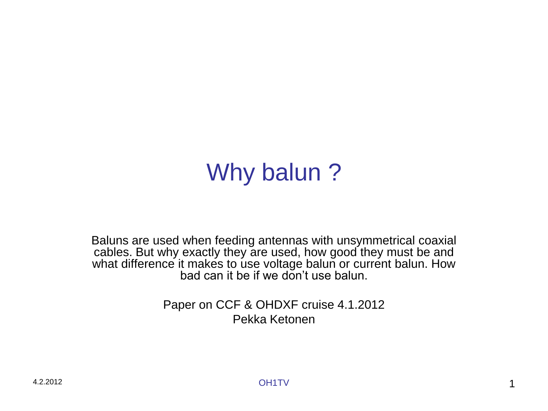# Why balun?

Baluns are used when feeding antennas with unsymmetrical coaxial cables. But why exactly they are used, how good they must be and what difference it makes to use voltage balun or current balun. How bad can it be if we don't use balun.

> Paper on CCF & OHDXF cruise 4.1.2012 Pekka Ketonen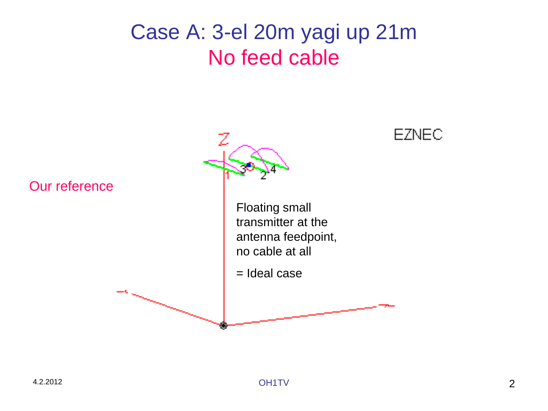#### Case A: 3-el 20m yagi up 21m No feed cable

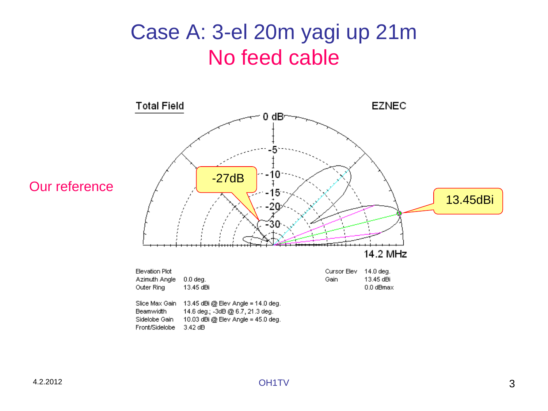#### Case A: 3-el 20m yagi up 21m No feed cable



#### Our reference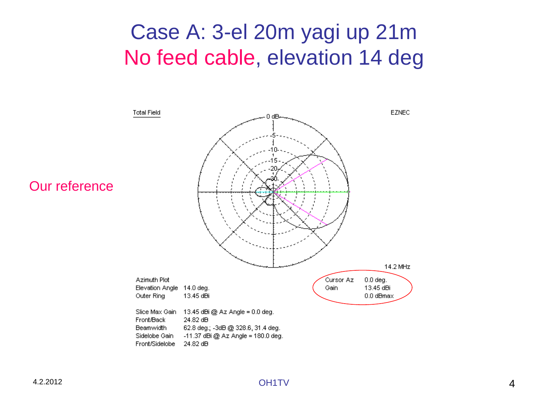#### Case A: 3-el 20m yagi up 21m No feed cable, elevation 14 deg



#### Our reference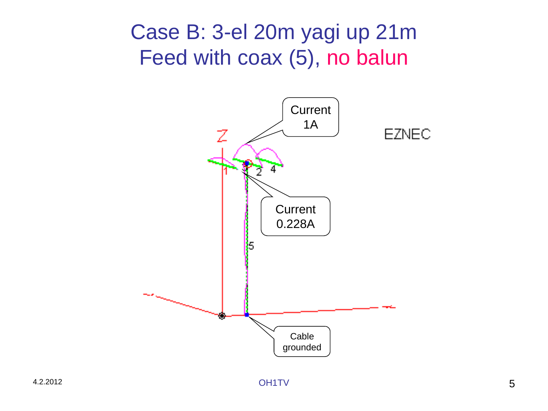#### Case B: 3-el 20m yagi up 21m Feed with coax (5), no balun

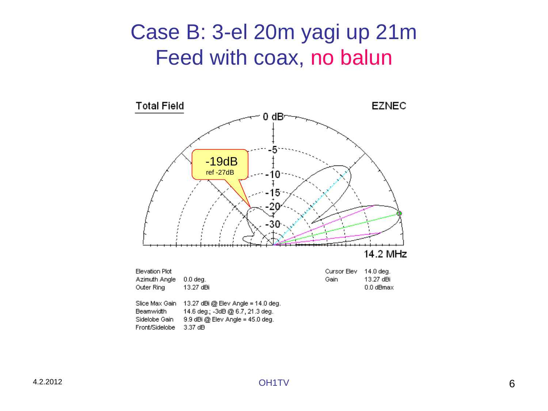#### Case B: 3-el 20m yagi up 21m Feed with coax, no balun

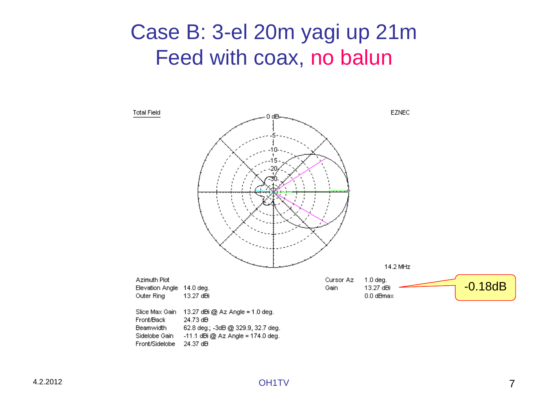#### Case B: 3-el 20m yagi up 21m Feed with coax, no balun

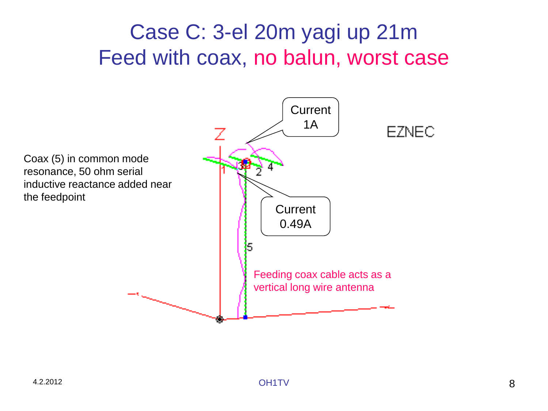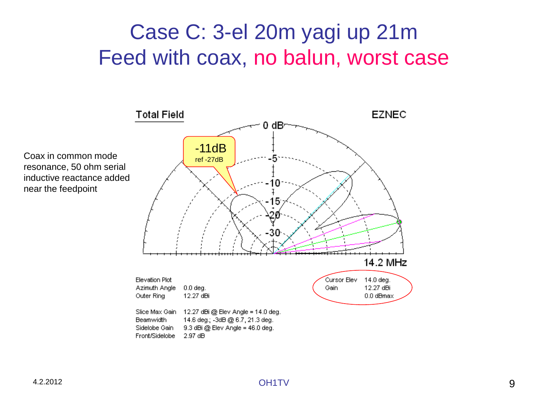

Coax in common mode resonance, 50 ohm serial inductive reactance added near the feedpoint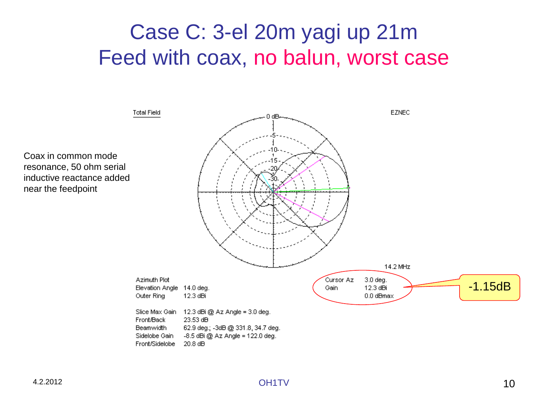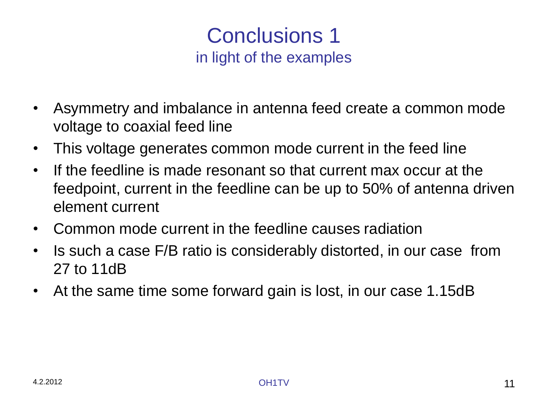#### Conclusions 1 in light of the examples

- Asymmetry and imbalance in antenna feed create a common mode voltage to coaxial feed line
- This voltage generates common mode current in the feed line
- If the feedline is made resonant so that current max occur at the feedpoint, current in the feedline can be up to 50% of antenna driven element current
- Common mode current in the feedline causes radiation
- Is such a case F/B ratio is considerably distorted, in our case from 27 to 11dB
- At the same time some forward gain is lost, in our case 1.15dB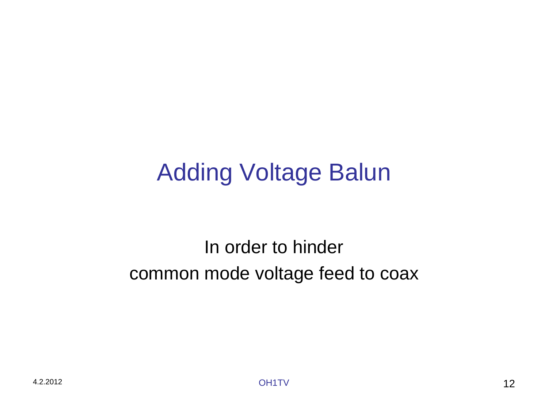# Adding Voltage Balun

#### In order to hinder common mode voltage feed to coax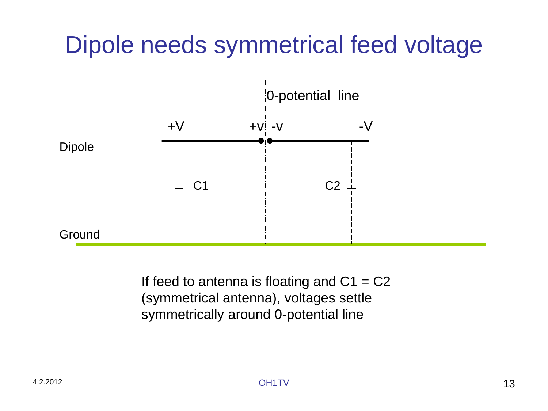# Dipole needs symmetrical feed voltage



If feed to antenna is floating and  $C1 = C2$ (symmetrical antenna), voltages settle symmetrically around 0-potential line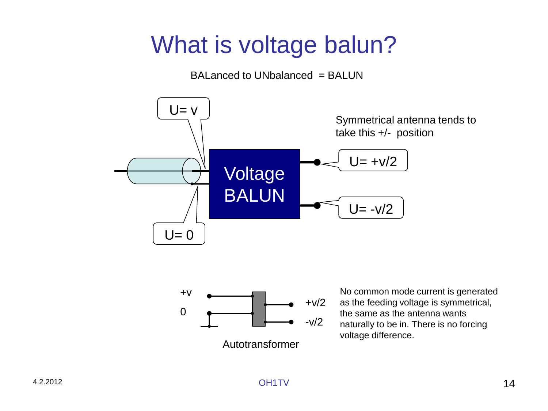# What is voltage balun?

 $BALanced to UNbalanced = BALUN$ 





Autotransformer

No common mode current is generated as the feeding voltage is symmetrical, the same as the antenna wants naturally to be in. There is no forcing voltage difference.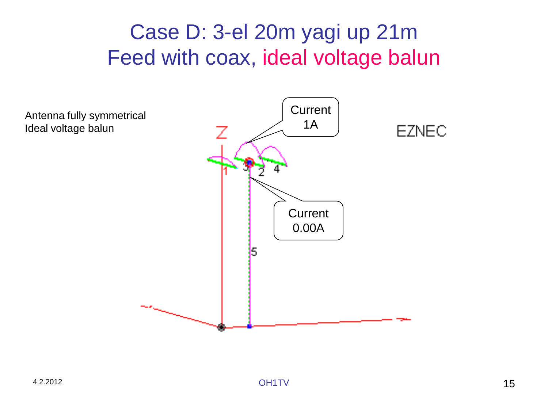#### Case D: 3-el 20m yagi up 21m Feed with coax, ideal voltage balun

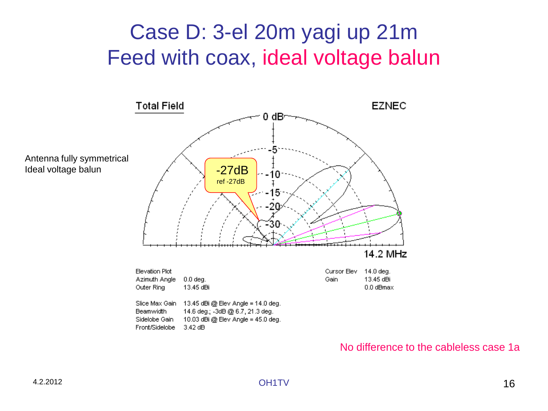### Case D: 3-el 20m yagi up 21m Feed with coax, ideal voltage balun



#### No difference to the cableless case 1a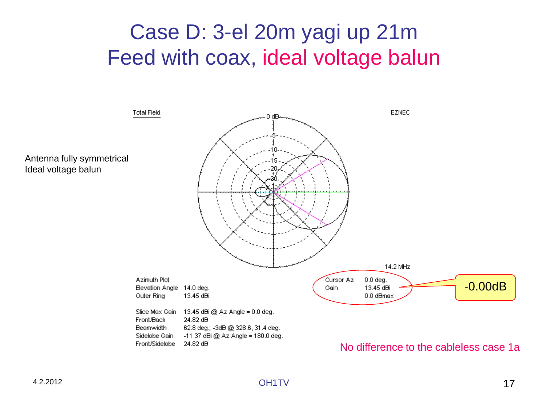#### Case D: 3-el 20m yagi up 21m Feed with coax, ideal voltage balun

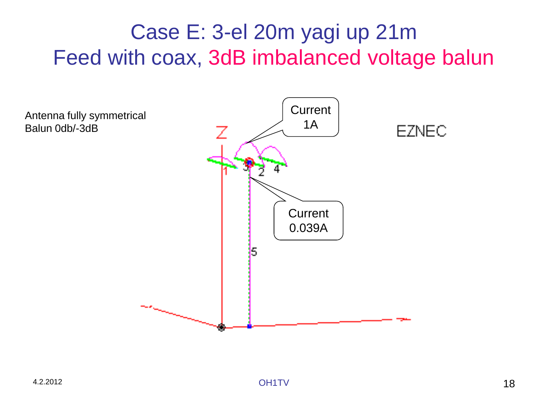## Case E: 3-el 20m yagi up 21m Feed with coax, 3dB imbalanced voltage balun

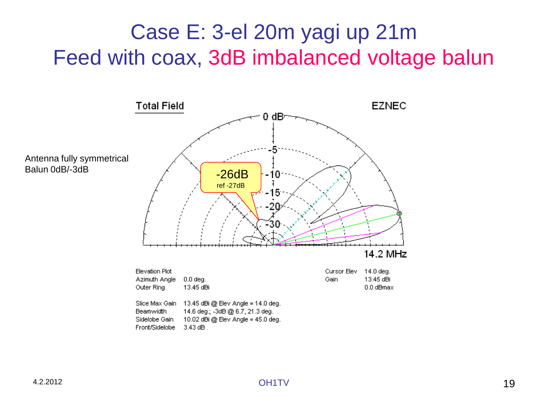## Case E: 3-el 20m yagi up 21m Feed with coax, 3dB imbalanced voltage balun

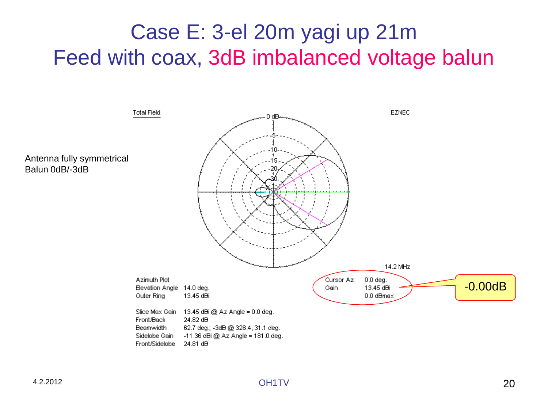## Case E: 3-el 20m yagi up 21m Feed with coax, 3dB imbalanced voltage balun

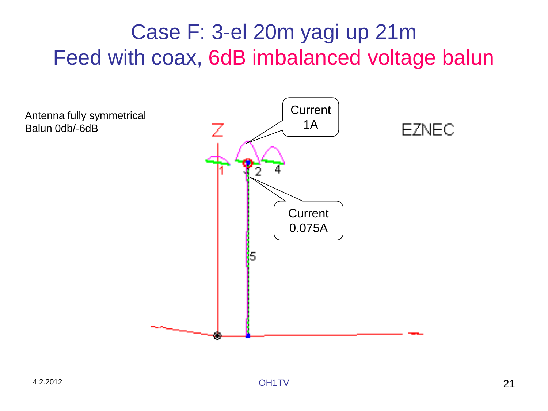## Case F: 3-el 20m yagi up 21m Feed with coax, 6dB imbalanced voltage balun

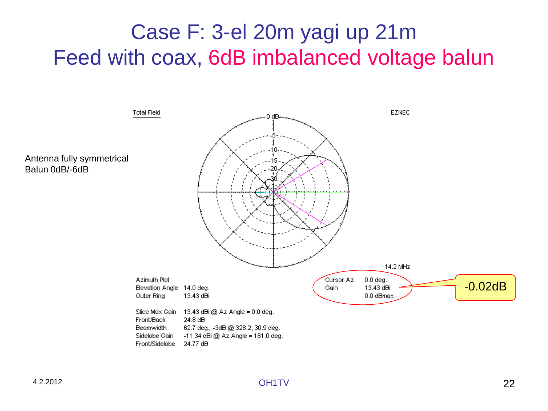## Case F: 3-el 20m yagi up 21m Feed with coax, 6dB imbalanced voltage balun

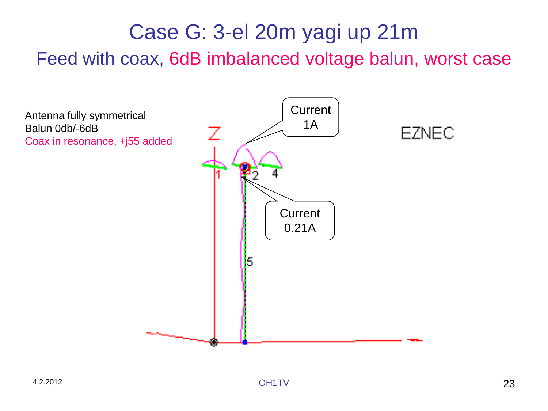## Case G: 3-el 20m yagi up 21m

Feed with coax, 6dB imbalanced voltage balun, worst case

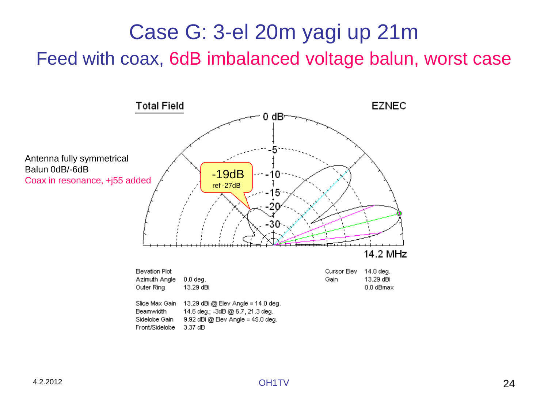## Case G: 3-el 20m yagi up 21m

Feed with coax, 6dB imbalanced voltage balun, worst case

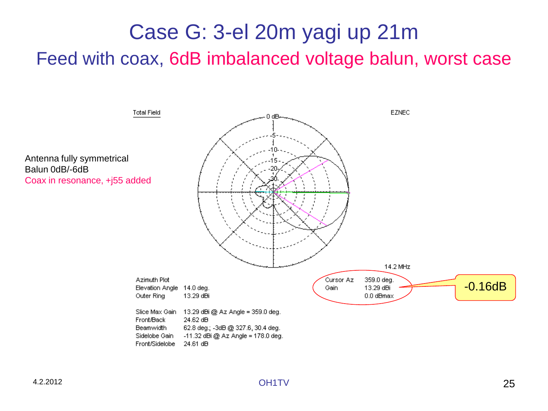## Case G: 3-el 20m yagi up 21m

Feed with coax, 6dB imbalanced voltage balun, worst case

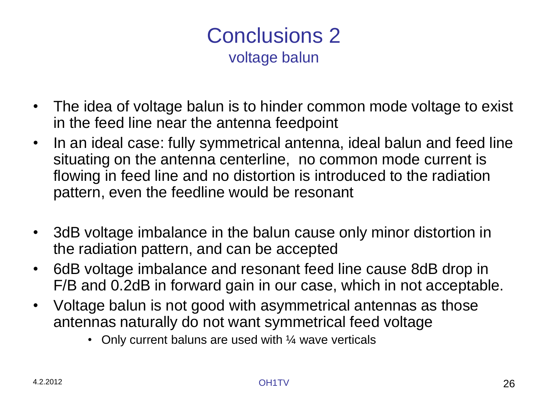#### Conclusions 2 voltage balun

- The idea of voltage balun is to hinder common mode voltage to exist in the feed line near the antenna feedpoint
- In an ideal case: fully symmetrical antenna, ideal balun and feed line situating on the antenna centerline, no common mode current is flowing in feed line and no distortion is introduced to the radiation pattern, even the feedline would be resonant
- 3dB voltage imbalance in the balun cause only minor distortion in the radiation pattern, and can be accepted
- 6dB voltage imbalance and resonant feed line cause 8dB drop in F/B and 0.2dB in forward gain in our case, which in not acceptable.
- Voltage balun is not good with asymmetrical antennas as those antennas naturally do not want symmetrical feed voltage
	- Only current baluns are used with 1/4 wave verticals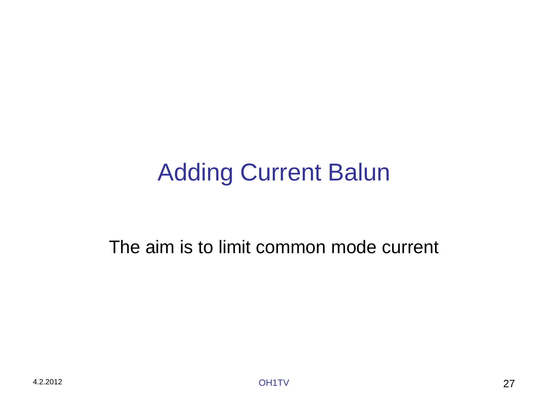# Adding Current Balun

The aim is to limit common mode current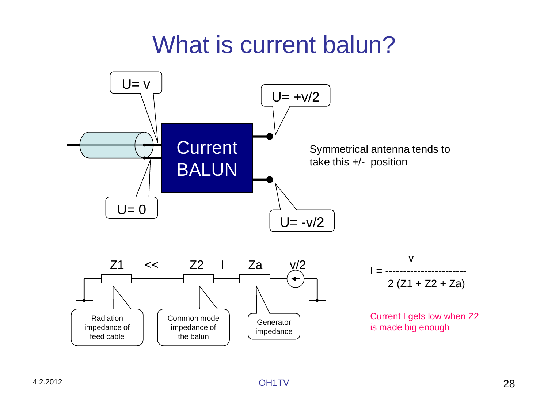## What is current balun?

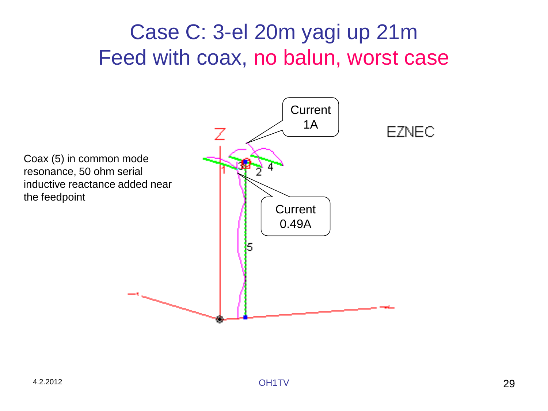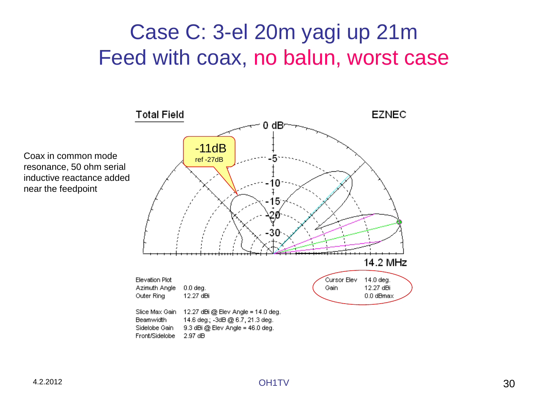

resonance, 50 ohm serial inductive reactance added near the feedpoint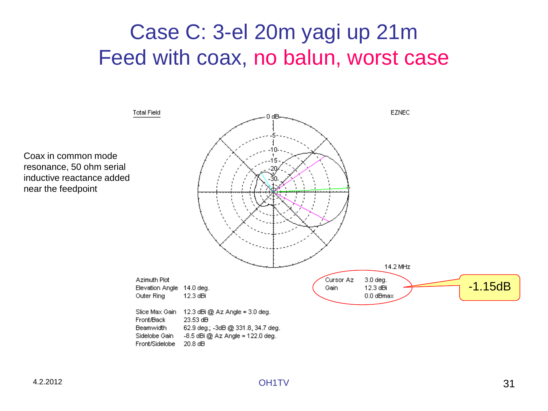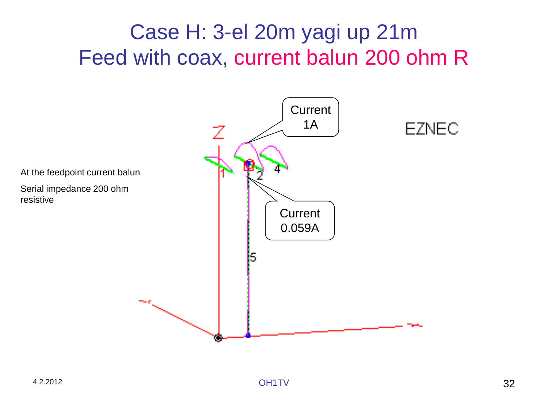## Case H: 3-el 20m yagi up 21m Feed with coax, current balun 200 ohm R

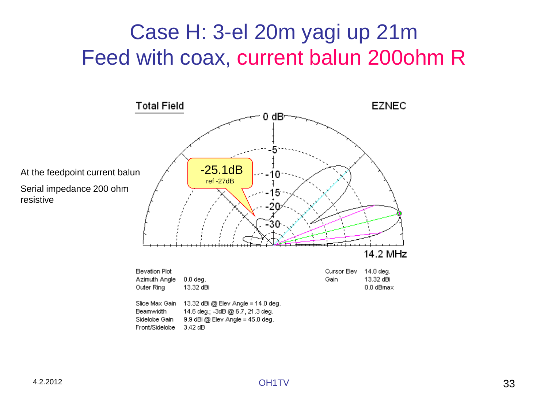## Case H: 3-el 20m yagi up 21m Feed with coax, current balun 200ohm R

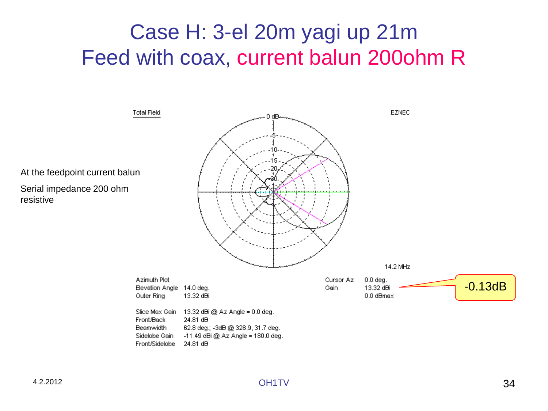### Case H: 3-el 20m yagi up 21m Feed with coax, current balun 200ohm R

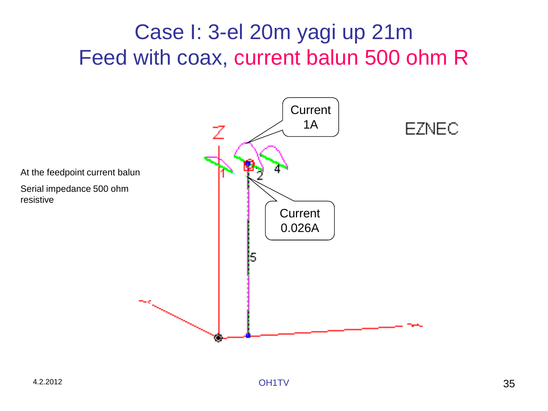## Case I: 3-el 20m yagi up 21m Feed with coax, current balun 500 ohm R

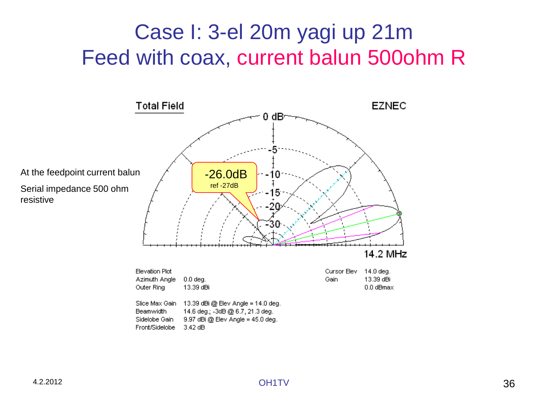## Case I: 3-el 20m yagi up 21m Feed with coax, current balun 500ohm R

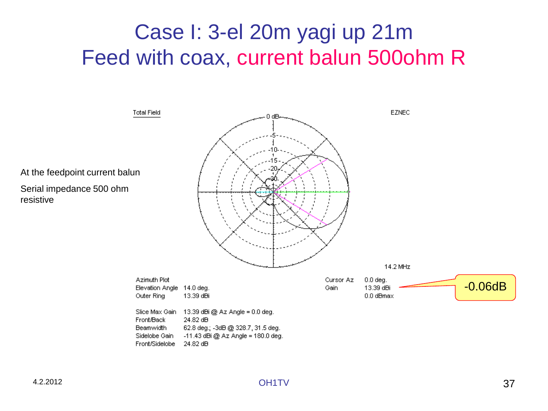## Case I: 3-el 20m yagi up 21m Feed with coax, current balun 500ohm R

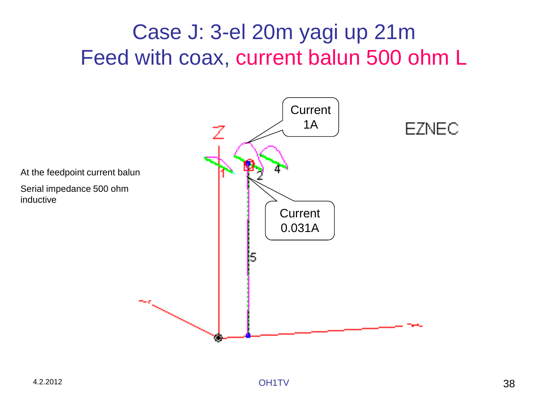## Case J: 3-el 20m yagi up 21m Feed with coax, current balun 500 ohm L

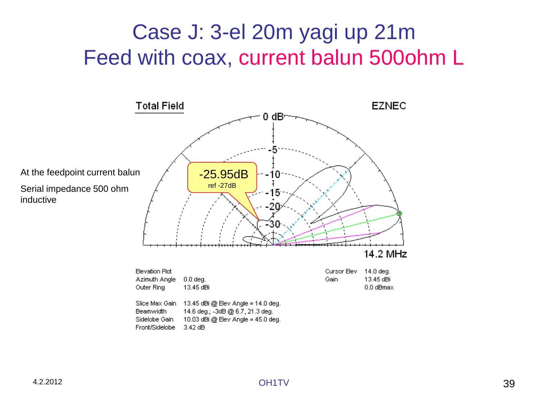## Case J: 3-el 20m yagi up 21m Feed with coax, current balun 500ohm L

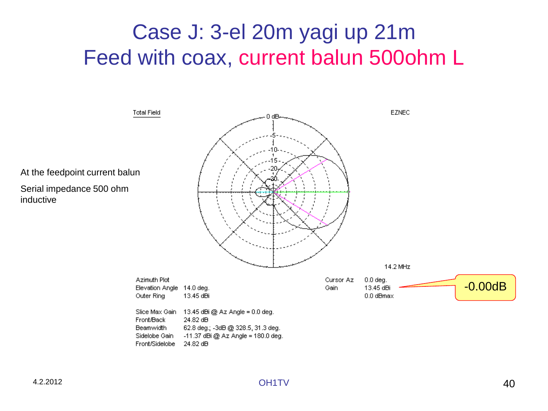## Case J: 3-el 20m yagi up 21m Feed with coax, current balun 500ohm L

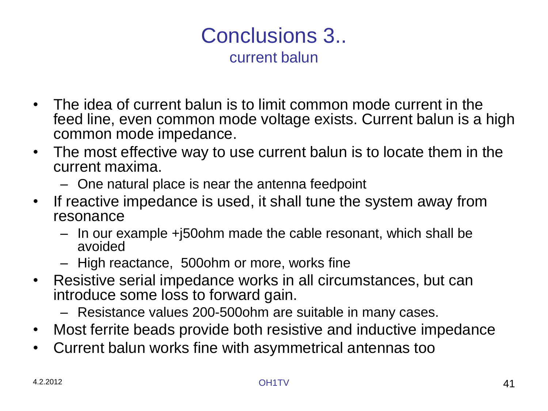#### Conclusions 3.. current balun

- The idea of current balun is to limit common mode current in the feed line, even common mode voltage exists. Current balun is a high common mode impedance.
- The most effective way to use current balun is to locate them in the current maxima.
	- One natural place is near the antenna feedpoint
- If reactive impedance is used, it shall tune the system away from resonance
	- In our example +j50ohm made the cable resonant, which shall be avoided
	- High reactance, 500ohm or more, works fine
- Resistive serial impedance works in all circumstances, but can introduce some loss to forward gain.
	- Resistance values 200-500ohm are suitable in many cases.
- Most ferrite beads provide both resistive and inductive impedance
- Current balun works fine with asymmetrical antennas too